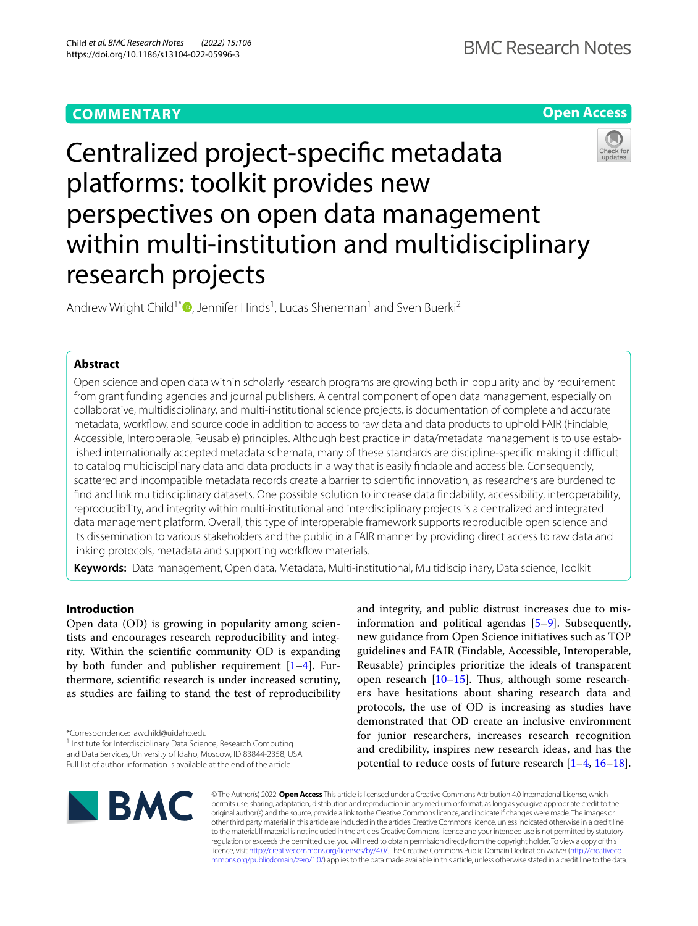# **COMMENTARY**

# **Open Access**

# Centralized project-specifc metadata platforms: toolkit provides new perspectives on open data management within multi-institution and multidisciplinary research projects

Andrew Wright Child<sup>1\*</sup><sup>®</sup>[,](http://orcid.org/0000-0001-6666-0739) Jennifer Hinds<sup>1</sup>, Lucas Sheneman<sup>1</sup> and Sven Buerki<sup>2</sup>

# **Abstract**

Open science and open data within scholarly research programs are growing both in popularity and by requirement from grant funding agencies and journal publishers. A central component of open data management, especially on collaborative, multidisciplinary, and multi-institutional science projects, is documentation of complete and accurate metadata, workfow, and source code in addition to access to raw data and data products to uphold FAIR (Findable, Accessible, Interoperable, Reusable) principles. Although best practice in data/metadata management is to use established internationally accepted metadata schemata, many of these standards are discipline-specific making it difficult to catalog multidisciplinary data and data products in a way that is easily fndable and accessible. Consequently, scattered and incompatible metadata records create a barrier to scientifc innovation, as researchers are burdened to fnd and link multidisciplinary datasets. One possible solution to increase data fndability, accessibility, interoperability, reproducibility, and integrity within multi-institutional and interdisciplinary projects is a centralized and integrated data management platform. Overall, this type of interoperable framework supports reproducible open science and its dissemination to various stakeholders and the public in a FAIR manner by providing direct access to raw data and linking protocols, metadata and supporting workflow materials.

**Keywords:** Data management, Open data, Metadata, Multi-institutional, Multidisciplinary, Data science, Toolkit

## **Introduction**

Open data (OD) is growing in popularity among scientists and encourages research reproducibility and integrity. Within the scientifc community OD is expanding by both funder and publisher requirement  $[1-4]$  $[1-4]$  $[1-4]$ . Furthermore, scientifc research is under increased scrutiny, as studies are failing to stand the test of reproducibility

\*Correspondence: awchild@uidaho.edu

<sup>1</sup> Institute for Interdisciplinary Data Science, Research Computing and Data Services, University of Idaho, Moscow, ID 83844-2358, USA Full list of author information is available at the end of the article

and integrity, and public distrust increases due to misinformation and political agendas [\[5](#page-4-2)[–9](#page-4-3)]. Subsequently, new guidance from Open Science initiatives such as TOP guidelines and FAIR (Findable, Accessible, Interoperable, Reusable) principles prioritize the ideals of transparent open research  $[10-15]$  $[10-15]$  $[10-15]$ . Thus, although some researchers have hesitations about sharing research data and protocols, the use of OD is increasing as studies have demonstrated that OD create an inclusive environment for junior researchers, increases research recognition and credibility, inspires new research ideas, and has the potential to reduce costs of future research [[1–](#page-4-0)[4,](#page-4-1) [16](#page-4-6)[–18](#page-4-7)].



© The Author(s) 2022. **Open Access** This article is licensed under a Creative Commons Attribution 4.0 International License, which permits use, sharing, adaptation, distribution and reproduction in any medium or format, as long as you give appropriate credit to the original author(s) and the source, provide a link to the Creative Commons licence, and indicate if changes were made. The images or other third party material in this article are included in the article's Creative Commons licence, unless indicated otherwise in a credit line to the material. If material is not included in the article's Creative Commons licence and your intended use is not permitted by statutory regulation or exceeds the permitted use, you will need to obtain permission directly from the copyright holder. To view a copy of this licence, visit [http://creativecommons.org/licenses/by/4.0/.](http://creativecommons.org/licenses/by/4.0/) The Creative Commons Public Domain Dedication waiver ([http://creativeco](http://creativecommons.org/publicdomain/zero/1.0/) [mmons.org/publicdomain/zero/1.0/](http://creativecommons.org/publicdomain/zero/1.0/)) applies to the data made available in this article, unless otherwise stated in a credit line to the data.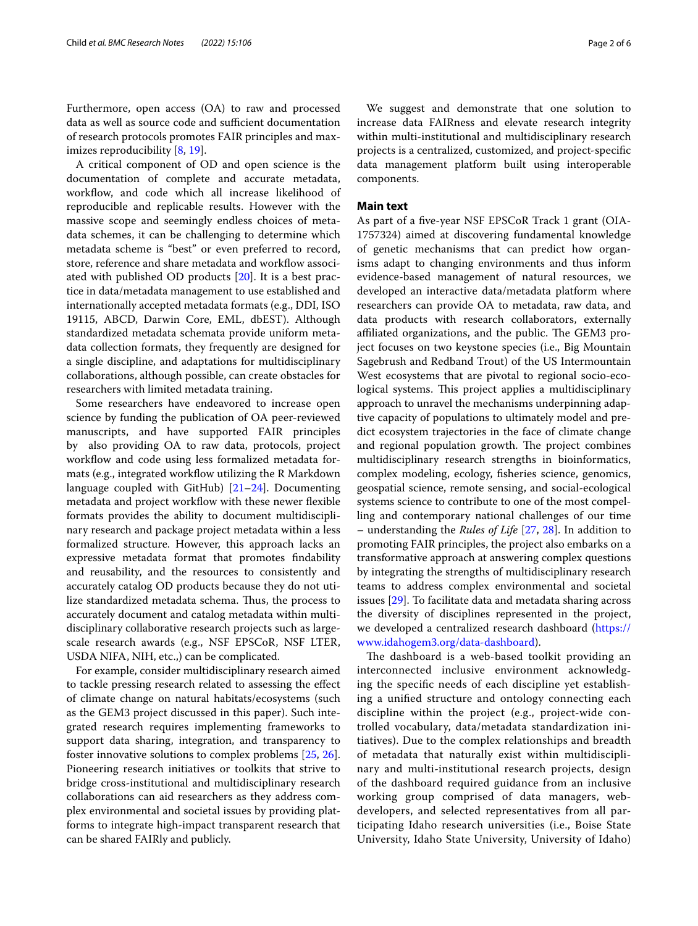Furthermore, open access (OA) to raw and processed data as well as source code and sufficient documentation of research protocols promotes FAIR principles and maximizes reproducibility [[8,](#page-4-8) [19\]](#page-4-9).

A critical component of OD and open science is the documentation of complete and accurate metadata, workflow, and code which all increase likelihood of reproducible and replicable results. However with the massive scope and seemingly endless choices of metadata schemes, it can be challenging to determine which metadata scheme is "best" or even preferred to record, store, reference and share metadata and workflow associated with published OD products [\[20](#page-4-10)]. It is a best practice in data/metadata management to use established and internationally accepted metadata formats (e.g., DDI, ISO 19115, ABCD, Darwin Core, EML, dbEST). Although standardized metadata schemata provide uniform metadata collection formats, they frequently are designed for a single discipline, and adaptations for multidisciplinary collaborations, although possible, can create obstacles for researchers with limited metadata training.

Some researchers have endeavored to increase open science by funding the publication of OA peer-reviewed manuscripts, and have supported FAIR principles by also providing OA to raw data, protocols, project workflow and code using less formalized metadata formats (e.g., integrated workflow utilizing the R Markdown language coupled with GitHub)  $[21–24]$  $[21–24]$  $[21–24]$  $[21–24]$ . Documenting metadata and project workflow with these newer flexible formats provides the ability to document multidisciplinary research and package project metadata within a less formalized structure. However, this approach lacks an expressive metadata format that promotes fndability and reusability, and the resources to consistently and accurately catalog OD products because they do not utilize standardized metadata schema. Thus, the process to accurately document and catalog metadata within multidisciplinary collaborative research projects such as largescale research awards (e.g., NSF EPSCoR, NSF LTER, USDA NIFA, NIH, etc.,) can be complicated.

For example, consider multidisciplinary research aimed to tackle pressing research related to assessing the efect of climate change on natural habitats/ecosystems (such as the GEM3 project discussed in this paper). Such integrated research requires implementing frameworks to support data sharing, integration, and transparency to foster innovative solutions to complex problems [[25](#page-5-2), [26](#page-5-3)]. Pioneering research initiatives or toolkits that strive to bridge cross-institutional and multidisciplinary research collaborations can aid researchers as they address complex environmental and societal issues by providing platforms to integrate high-impact transparent research that can be shared FAIRly and publicly.

We suggest and demonstrate that one solution to increase data FAIRness and elevate research integrity within multi-institutional and multidisciplinary research projects is a centralized, customized, and project-specifc data management platform built using interoperable components.

### **Main text**

As part of a fve-year NSF EPSCoR Track 1 grant (OIA-1757324) aimed at discovering fundamental knowledge of genetic mechanisms that can predict how organisms adapt to changing environments and thus inform evidence-based management of natural resources, we developed an interactive data/metadata platform where researchers can provide OA to metadata, raw data, and data products with research collaborators, externally affiliated organizations, and the public. The GEM3 project focuses on two keystone species (i.e., Big Mountain Sagebrush and Redband Trout) of the US Intermountain West ecosystems that are pivotal to regional socio-ecological systems. This project applies a multidisciplinary approach to unravel the mechanisms underpinning adaptive capacity of populations to ultimately model and predict ecosystem trajectories in the face of climate change and regional population growth. The project combines multidisciplinary research strengths in bioinformatics, complex modeling, ecology, fsheries science, genomics, geospatial science, remote sensing, and social-ecological systems science to contribute to one of the most compelling and contemporary national challenges of our time – understanding the *Rules of Life* [\[27,](#page-5-4) [28\]](#page-5-5). In addition to promoting FAIR principles, the project also embarks on a transformative approach at answering complex questions by integrating the strengths of multidisciplinary research teams to address complex environmental and societal issues [\[29](#page-5-6)]. To facilitate data and metadata sharing across the diversity of disciplines represented in the project, we developed a centralized research dashboard [\(https://](https://www.idahogem3.org/data-dashboard) [www.idahogem3.org/data-dashboard](https://www.idahogem3.org/data-dashboard)).

The dashboard is a web-based toolkit providing an interconnected inclusive environment acknowledging the specifc needs of each discipline yet establishing a unifed structure and ontology connecting each discipline within the project (e.g., project-wide controlled vocabulary, data/metadata standardization initiatives). Due to the complex relationships and breadth of metadata that naturally exist within multidisciplinary and multi-institutional research projects, design of the dashboard required guidance from an inclusive working group comprised of data managers, webdevelopers, and selected representatives from all participating Idaho research universities (i.e., Boise State University, Idaho State University, University of Idaho)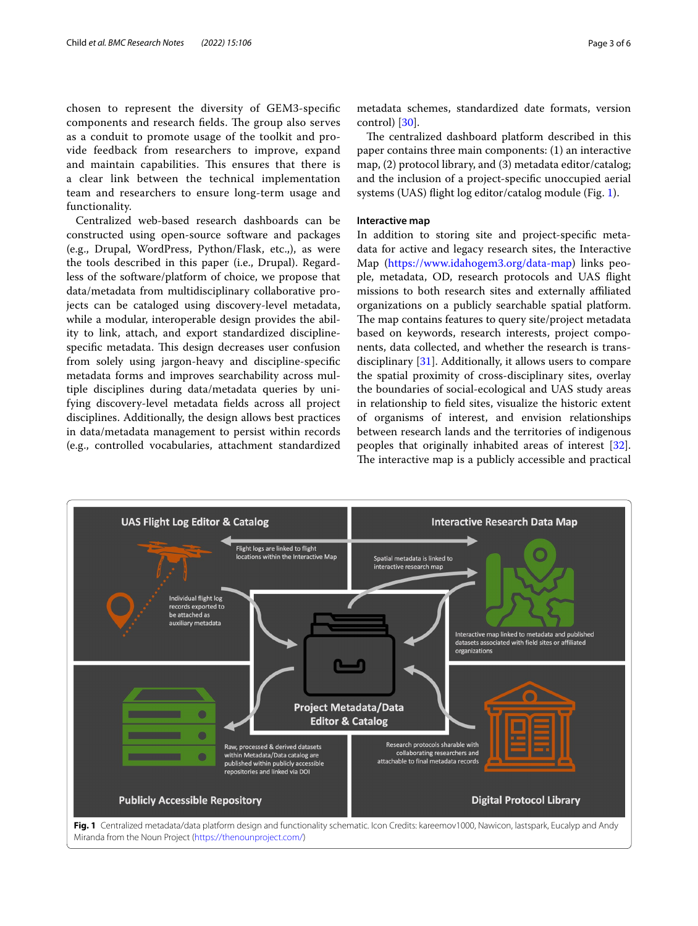chosen to represent the diversity of GEM3-specifc components and research fields. The group also serves as a conduit to promote usage of the toolkit and provide feedback from researchers to improve, expand and maintain capabilities. This ensures that there is a clear link between the technical implementation team and researchers to ensure long-term usage and functionality.

Centralized web-based research dashboards can be constructed using open-source software and packages (e.g., Drupal, WordPress, Python/Flask, etc.,), as were the tools described in this paper (i.e., Drupal). Regardless of the software/platform of choice, we propose that data/metadata from multidisciplinary collaborative projects can be cataloged using discovery-level metadata, while a modular, interoperable design provides the ability to link, attach, and export standardized disciplinespecific metadata. This design decreases user confusion from solely using jargon-heavy and discipline-specifc metadata forms and improves searchability across multiple disciplines during data/metadata queries by unifying discovery-level metadata felds across all project disciplines. Additionally, the design allows best practices in data/metadata management to persist within records (e.g., controlled vocabularies, attachment standardized

metadata schemes, standardized date formats, version control) [[30\]](#page-5-7).

The centralized dashboard platform described in this paper contains three main components: (1) an interactive map, (2) protocol library, and (3) metadata editor/catalog; and the inclusion of a project-specifc unoccupied aerial systems (UAS) fight log editor/catalog module (Fig. [1](#page-2-0)).

#### **Interactive map**

In addition to storing site and project-specifc metadata for active and legacy research sites, the Interactive Map [\(https://www.idahogem3.org/data-map](https://www.idahogem3.org/data-map)) links people, metadata, OD, research protocols and UAS fight missions to both research sites and externally afliated organizations on a publicly searchable spatial platform. The map contains features to query site/project metadata based on keywords, research interests, project components, data collected, and whether the research is transdisciplinary [\[31](#page-5-8)]. Additionally, it allows users to compare the spatial proximity of cross-disciplinary sites, overlay the boundaries of social-ecological and UAS study areas in relationship to feld sites, visualize the historic extent of organisms of interest, and envision relationships between research lands and the territories of indigenous peoples that originally inhabited areas of interest [\[32](#page-5-9)]. The interactive map is a publicly accessible and practical

<span id="page-2-0"></span>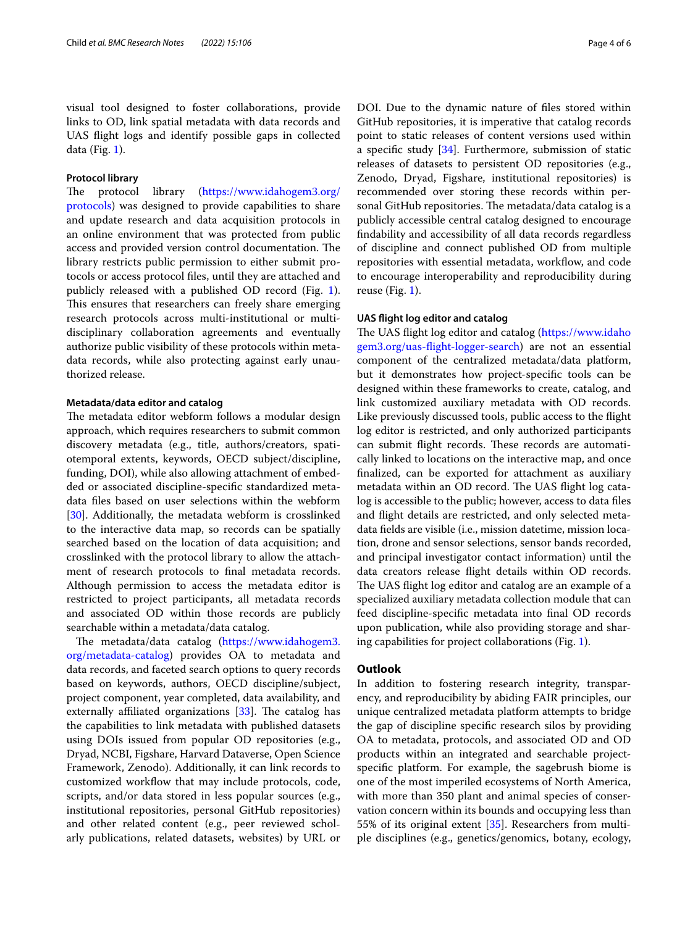visual tool designed to foster collaborations, provide links to OD, link spatial metadata with data records and UAS fight logs and identify possible gaps in collected data (Fig. [1\)](#page-2-0).

#### **Protocol library**

The protocol library ([https://www.idahogem3.org/](https://www.idahogem3.org/protocols) [protocols](https://www.idahogem3.org/protocols)) was designed to provide capabilities to share and update research and data acquisition protocols in an online environment that was protected from public access and provided version control documentation. The library restricts public permission to either submit protocols or access protocol fles, until they are attached and publicly released with a published OD record (Fig. [1](#page-2-0)). This ensures that researchers can freely share emerging research protocols across multi-institutional or multidisciplinary collaboration agreements and eventually authorize public visibility of these protocols within metadata records, while also protecting against early unauthorized release.

#### **Metadata/data editor and catalog**

The metadata editor webform follows a modular design approach, which requires researchers to submit common discovery metadata (e.g., title, authors/creators, spatiotemporal extents, keywords, OECD subject/discipline, funding, DOI), while also allowing attachment of embedded or associated discipline-specifc standardized metadata fles based on user selections within the webform [[30\]](#page-5-7). Additionally, the metadata webform is crosslinked to the interactive data map, so records can be spatially searched based on the location of data acquisition; and crosslinked with the protocol library to allow the attachment of research protocols to fnal metadata records. Although permission to access the metadata editor is restricted to project participants, all metadata records and associated OD within those records are publicly searchable within a metadata/data catalog.

The metadata/data catalog ([https://www.idahogem3.](https://www.idahogem3.org/metadata-catalog) [org/metadata-catalog](https://www.idahogem3.org/metadata-catalog)) provides OA to metadata and data records, and faceted search options to query records based on keywords, authors, OECD discipline/subject, project component, year completed, data availability, and externally affiliated organizations  $[33]$  $[33]$ . The catalog has the capabilities to link metadata with published datasets using DOIs issued from popular OD repositories (e.g., Dryad, NCBI, Figshare, Harvard Dataverse, Open Science Framework, Zenodo). Additionally, it can link records to customized workflow that may include protocols, code, scripts, and/or data stored in less popular sources (e.g., institutional repositories, personal GitHub repositories) and other related content (e.g., peer reviewed scholarly publications, related datasets, websites) by URL or DOI. Due to the dynamic nature of fles stored within GitHub repositories, it is imperative that catalog records point to static releases of content versions used within a specifc study [[34\]](#page-5-11). Furthermore, submission of static releases of datasets to persistent OD repositories (e.g., Zenodo, Dryad, Figshare, institutional repositories) is recommended over storing these records within personal GitHub repositories. The metadata/data catalog is a publicly accessible central catalog designed to encourage fndability and accessibility of all data records regardless of discipline and connect published OD from multiple repositories with essential metadata, workflow, and code to encourage interoperability and reproducibility during reuse (Fig. [1](#page-2-0)).

### **UAS fight log editor and catalog**

The UAS flight log editor and catalog [\(https://www.idaho](https://www.idahogem3.org/uas-flight-logger-search) [gem3.org/uas-fight-logger-search\)](https://www.idahogem3.org/uas-flight-logger-search) are not an essential component of the centralized metadata/data platform, but it demonstrates how project-specifc tools can be designed within these frameworks to create, catalog, and link customized auxiliary metadata with OD records. Like previously discussed tools, public access to the fight log editor is restricted, and only authorized participants can submit flight records. These records are automatically linked to locations on the interactive map, and once fnalized, can be exported for attachment as auxiliary metadata within an OD record. The UAS flight log catalog is accessible to the public; however, access to data fles and fight details are restricted, and only selected metadata felds are visible (i.e., mission datetime, mission location, drone and sensor selections, sensor bands recorded, and principal investigator contact information) until the data creators release fight details within OD records. The UAS flight log editor and catalog are an example of a specialized auxiliary metadata collection module that can feed discipline-specifc metadata into fnal OD records upon publication, while also providing storage and sharing capabilities for project collaborations (Fig. [1\)](#page-2-0).

#### **Outlook**

In addition to fostering research integrity, transparency, and reproducibility by abiding FAIR principles, our unique centralized metadata platform attempts to bridge the gap of discipline specifc research silos by providing OA to metadata, protocols, and associated OD and OD products within an integrated and searchable projectspecifc platform. For example, the sagebrush biome is one of the most imperiled ecosystems of North America, with more than 350 plant and animal species of conservation concern within its bounds and occupying less than 55% of its original extent [[35\]](#page-5-12). Researchers from multiple disciplines (e.g., genetics/genomics, botany, ecology,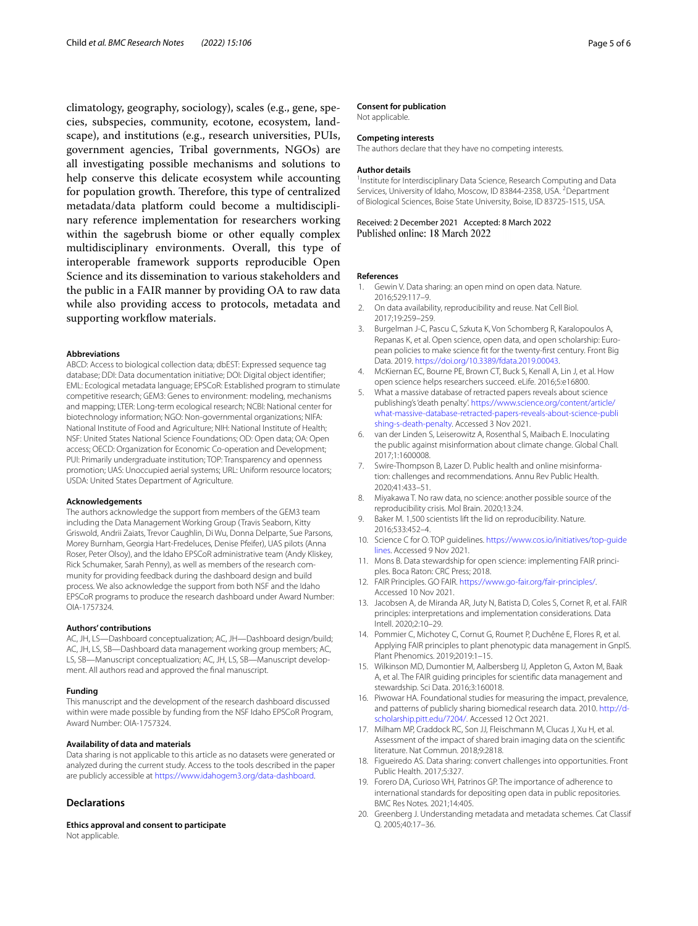climatology, geography, sociology), scales (e.g., gene, species, subspecies, community, ecotone, ecosystem, landscape), and institutions (e.g., research universities, PUIs, government agencies, Tribal governments, NGOs) are all investigating possible mechanisms and solutions to help conserve this delicate ecosystem while accounting for population growth. Therefore, this type of centralized metadata/data platform could become a multidisciplinary reference implementation for researchers working within the sagebrush biome or other equally complex multidisciplinary environments. Overall, this type of interoperable framework supports reproducible Open Science and its dissemination to various stakeholders and the public in a FAIR manner by providing OA to raw data while also providing access to protocols, metadata and supporting workflow materials.

#### **Abbreviations**

ABCD: Access to biological collection data; dbEST: Expressed sequence tag database; DDI: Data documentation initiative; DOI: Digital object identifer; EML: Ecological metadata language; EPSCoR: Established program to stimulate competitive research; GEM3: Genes to environment: modeling, mechanisms and mapping; LTER: Long-term ecological research; NCBI: National center for biotechnology information; NGO: Non-governmental organizations; NIFA: National Institute of Food and Agriculture; NIH: National Institute of Health; NSF: United States National Science Foundations; OD: Open data; OA: Open access; OECD: Organization for Economic Co-operation and Development; PUI: Primarily undergraduate institution; TOP: Transparency and openness promotion; UAS: Unoccupied aerial systems; URL: Uniform resource locators; USDA: United States Department of Agriculture.

#### **Acknowledgements**

The authors acknowledge the support from members of the GEM3 team including the Data Management Working Group (Travis Seaborn, Kitty Griswold, Andrii Zaiats, Trevor Caughlin, Di Wu, Donna Delparte, Sue Parsons, Morey Burnham, Georgia Hart-Fredeluces, Denise Pfeifer), UAS pilots (Anna Roser, Peter Olsoy), and the Idaho EPSCoR administrative team (Andy Kliskey, Rick Schumaker, Sarah Penny), as well as members of the research community for providing feedback during the dashboard design and build process. We also acknowledge the support from both NSF and the Idaho EPSCoR programs to produce the research dashboard under Award Number: OIA-1757324.

#### **Authors' contributions**

AC, JH, LS—Dashboard conceptualization; AC, JH—Dashboard design/build; AC, JH, LS, SB—Dashboard data management working group members; AC, LS, SB—Manuscript conceptualization; AC, JH, LS, SB—Manuscript development. All authors read and approved the fnal manuscript.

#### **Funding**

This manuscript and the development of the research dashboard discussed within were made possible by funding from the NSF Idaho EPSCoR Program, Award Number: OIA-1757324.

#### **Availability of data and materials**

Data sharing is not applicable to this article as no datasets were generated or analyzed during the current study. Access to the tools described in the paper are publicly accessible at [https://www.idahogem3.org/data-dashboard.](https://www.idahogem3.org/data-dashboard)

#### **Declarations**

**Ethics approval and consent to participate**

Not applicable.

#### **Consent for publication**

Not applicable.

#### **Competing interests**

The authors declare that they have no competing interests.

#### **Author details**

<sup>1</sup> Institute for Interdisciplinary Data Science, Research Computing and Data Services, University of Idaho, Moscow, ID 83844-2358, USA. <sup>2</sup> Department of Biological Sciences, Boise State University, Boise, ID 83725-1515, USA.

Received: 2 December 2021 Accepted: 8 March 2022

#### **References**

- <span id="page-4-0"></span>1. Gewin V. Data sharing: an open mind on open data. Nature. 2016;529:117–9.
- 2. On data availability, reproducibility and reuse. Nat Cell Biol. 2017;19:259–259.
- 3. Burgelman J-C, Pascu C, Szkuta K, Von Schomberg R, Karalopoulos A, Repanas K, et al. Open science, open data, and open scholarship: European policies to make science ft for the twenty-frst century. Front Big Data. 2019. [https://doi.org/10.3389/fdata.2019.00043.](https://doi.org/10.3389/fdata.2019.00043)
- <span id="page-4-1"></span>4. McKiernan EC, Bourne PE, Brown CT, Buck S, Kenall A, Lin J, et al. How open science helps researchers succeed. eLife. 2016;5:e16800.
- <span id="page-4-2"></span>5. What a massive database of retracted papers reveals about science publishing's 'death penalty'. [https://www.science.org/content/article/](https://www.science.org/content/article/what-massive-database-retracted-papers-reveals-about-science-publishing-s-death-penalty) [what-massive-database-retracted-papers-reveals-about-science-publi](https://www.science.org/content/article/what-massive-database-retracted-papers-reveals-about-science-publishing-s-death-penalty) [shing-s-death-penalty.](https://www.science.org/content/article/what-massive-database-retracted-papers-reveals-about-science-publishing-s-death-penalty) Accessed 3 Nov 2021.
- 6. van der Linden S, Leiserowitz A, Rosenthal S, Maibach E. Inoculating the public against misinformation about climate change. Global Chall. 2017;1:1600008.
- 7. Swire-Thompson B, Lazer D. Public health and online misinformation: challenges and recommendations. Annu Rev Public Health. 2020;41:433–51.
- <span id="page-4-8"></span>8. Miyakawa T. No raw data, no science: another possible source of the reproducibility crisis. Mol Brain. 2020;13:24.
- <span id="page-4-3"></span>9. Baker M. 1,500 scientists lift the lid on reproducibility. Nature. 2016;533:452–4.
- <span id="page-4-4"></span>10. Science C for O. TOP guidelines. [https://www.cos.io/initiatives/top-guide](https://www.cos.io/initiatives/top-guidelines) [lines](https://www.cos.io/initiatives/top-guidelines). Accessed 9 Nov 2021.
- 11. Mons B. Data stewardship for open science: implementing FAIR principles. Boca Raton: CRC Press; 2018.
- 12. FAIR Principles. GO FAIR.<https://www.go-fair.org/fair-principles/>. Accessed 10 Nov 2021.
- 13. Jacobsen A, de Miranda AR, Juty N, Batista D, Coles S, Cornet R, et al. FAIR principles: interpretations and implementation considerations. Data Intell. 2020;2:10–29.
- 14. Pommier C, Michotey C, Cornut G, Roumet P, Duchêne E, Flores R, et al. Applying FAIR principles to plant phenotypic data management in GnpIS. Plant Phenomics. 2019;2019:1–15.
- <span id="page-4-5"></span>15. Wilkinson MD, Dumontier M, Aalbersberg IJ, Appleton G, Axton M, Baak A, et al. The FAIR guiding principles for scientifc data management and stewardship. Sci Data. 2016;3:160018.
- <span id="page-4-6"></span>16. Piwowar HA. Foundational studies for measuring the impact, prevalence, and patterns of publicly sharing biomedical research data. 2010. [http://d](http://d-scholarship.pitt.edu/7204/)[scholarship.pitt.edu/7204/](http://d-scholarship.pitt.edu/7204/). Accessed 12 Oct 2021.
- 17. Milham MP, Craddock RC, Son JJ, Fleischmann M, Clucas J, Xu H, et al. Assessment of the impact of shared brain imaging data on the scientifc literature. Nat Commun. 2018;9:2818.
- <span id="page-4-7"></span>18. Figueiredo AS. Data sharing: convert challenges into opportunities. Front Public Health. 2017;5:327.
- <span id="page-4-9"></span>19. Forero DA, Curioso WH, Patrinos GP. The importance of adherence to international standards for depositing open data in public repositories. BMC Res Notes. 2021;14:405.
- <span id="page-4-10"></span>20. Greenberg J. Understanding metadata and metadata schemes. Cat Classif Q. 2005;40:17–36.